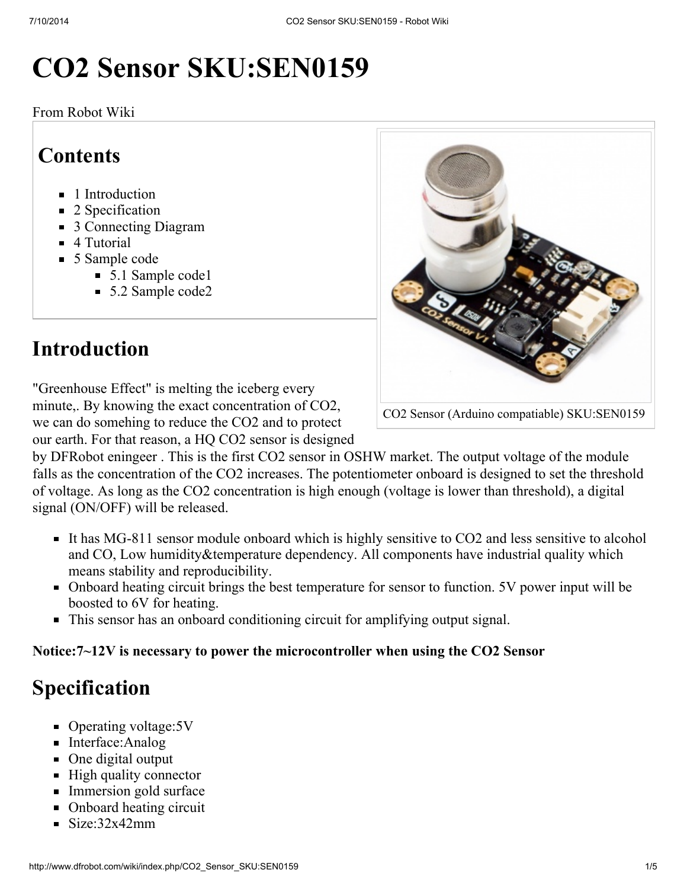# CO2 Sensor SKU:SEN0159

From Robot Wiki

### **Contents**

- **1** [Introduction](#page-0-0)
- 2 [Specification](#page-0-1)
- 3 [Connecting](#page-1-0) Diagram
- 4 [Tutorial](#page-1-1)
- 5 [Sample](#page-1-2) code
	- 5.1 [Sample](#page-1-3) code1
	- 5.2 [Sample](#page-2-0) code2

## <span id="page-0-0"></span>Introduction

"Greenhouse Effect" is melting the iceberg every minute,. By knowing the exact concentration of CO2, we can do somehing to reduce the CO2 and to protect our earth. For that reason, a HQ CO2 sensor is designed

by DFRobot eningeer . This is the first CO2 sensor in OSHW market. The output voltage of the module falls as the concentration of the CO2 increases. The potentiometer onboard is designed to set the threshold of voltage. As long as the CO2 concentration is high enough (voltage is lower than threshold), a digital signal (ON/OFF) will be released.

- It has MG-811 sensor module onboard which is highly sensitive to CO2 and less sensitive to alcohol and CO, Low humidity&temperature dependency. All components have industrial quality which means stability and reproducibility.
- Onboard heating circuit brings the best temperature for sensor to function. 5V power input will be boosted to 6V for heating.
- This sensor has an onboard conditioning circuit for amplifying output signal.

#### Notice:7~12V is necessary to power the microcontroller when using the CO2 Sensor

# <span id="page-0-1"></span>Specification

- Operating voltage: 5V
- Interface: Analog
- One digital output
- $\blacksquare$  High quality connector
- **Immersion gold surface**
- Onboard heating circuit
- $\sim$  Size:32x42mm



CO2 Sensor (Arduino compatiable) SKU:SEN0159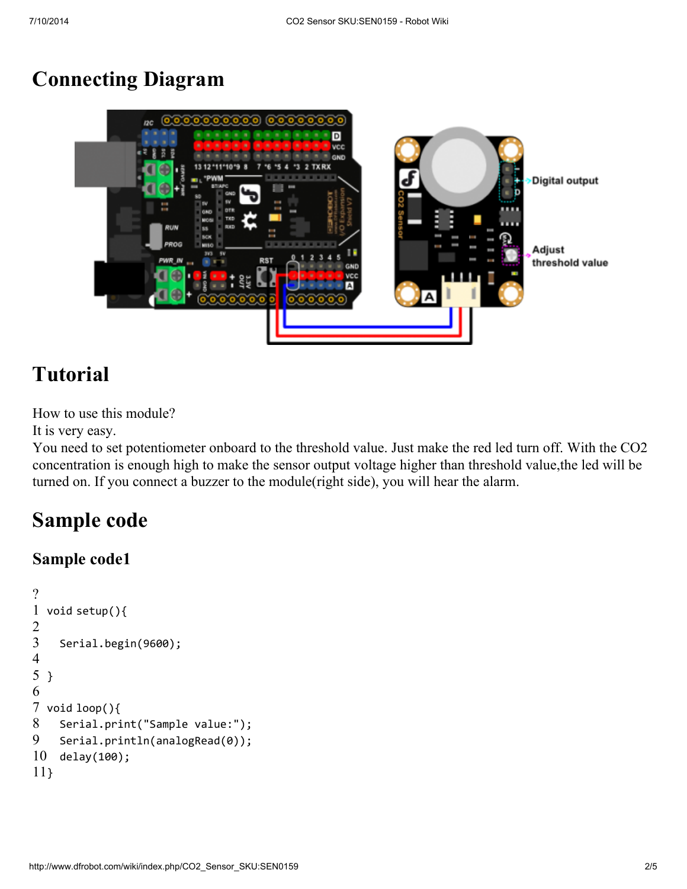### <span id="page-1-0"></span>Connecting Diagram



### <span id="page-1-1"></span>Tutorial

How to use this module?

It is very easy.

You need to set potentiometer onboard to the threshold value. Just make the red led turn off. With the CO2 concentration is enough high to make the sensor output voltage higher than threshold value,the led will be turned on. If you connect a buzzer to the module(right side), you will hear the alarm.

### <span id="page-1-2"></span>Sample code

#### <span id="page-1-3"></span>Sample code1

```
?
1
void setup(){
2
3
4
5
}
6
7
void loop(){
8
9
10
11
}Serial.begin(9600);
    Serial.print("Sample value:");
    Serial.println(analogRead(0));
    delay(100);
```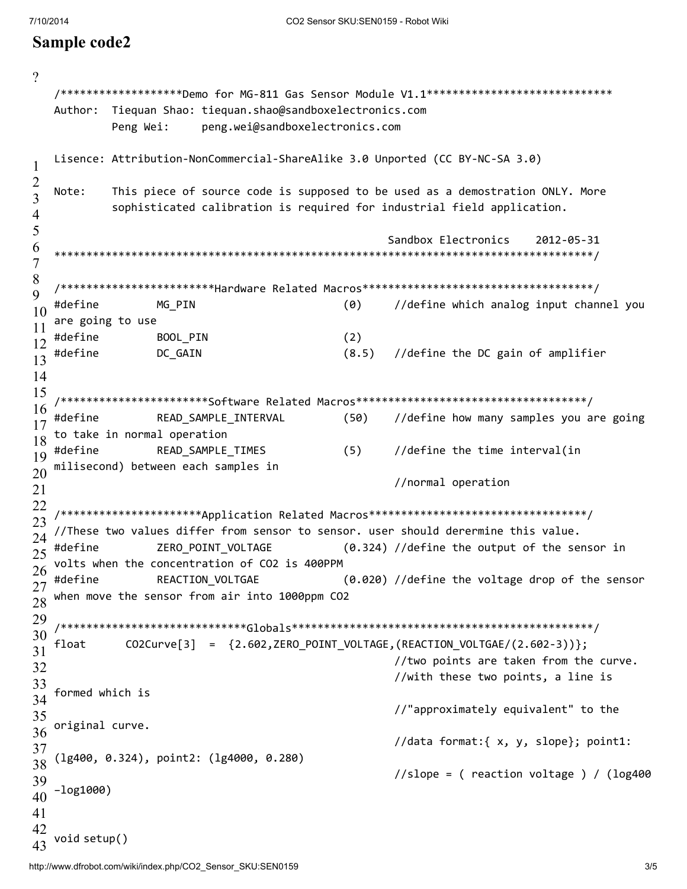#### <span id="page-2-0"></span>Sample code2

```
\gamma/********************Demo for MG-811 Gas Sensor Module V1.1*****************************
   Author: Tiequan Shao: tiequan.shao@sandboxelectronics.com
                         peng.wei@sandboxelectronics.com
           Peng Wei:
   Lisence: Attribution-NonCommercial-ShareAlike 3.0 Unported (CC BY-NC-SA 3.0)
\mathbf{1}\overline{2}This piece of source code is supposed to be used as a demostration ONLY. More
   Note:
\overline{\mathbf{3}}sophisticated calibration is required for industrial field application.
\overline{4}5
                                                     Sandbox Electronics
                                                                           2012-05-31
6
   \overline{7}8
   /*************************Hardware Related Macros***********************************/
9
   #define
                                              (0)//define which analog input channel you
                  MG PIN
10
   are going to use
11
   #define
                                              (2)BOOL PIN
12
   #define
                  DC GAIN
                                              (8.5)//define the DC gain of amplifier
13
14
15
   /************************Software Related Macros**********************************/
16
   #define
                  READ_SAMPLE_INTERVAL
                                              (50)//define how many samples you are going
17to take in normal operation
18
   #define
                  READ SAMPLE TIMES
                                              (5)//define the time interval(in
19
   milisecond) between each samples in
20
                                                      //normal operation
21
22
   /**********************Application Related Macros********************************/
23
   //These two values differ from sensor to sensor. user should derermine this value.
24
   #define
                  ZERO POINT VOLTAGE
                                              (0.324) //define the output of the sensor in
25
   volts when the concentration of CO2 is 400PPM
26
                  REACTION VOLTGAE
                                              (0.020) //define the voltage drop of the sensor
   #define
27
   when move the sensor from air into 1000ppm CO2
28
29
   30
             CO2Curve[3] = \{2.602, ZERO_POINT_VOLTAGE, (REACTION_VOLTGAE/(2.602-3))\};float
31
                                                      //two points are taken from the curve.
32
                                                      //with these two points, a line is
33
   formed which is
34
                                                      //"approximately equivalent" to the
35
   original curve.
36
                                                      //data format:{ x, y, slope}; point1:
37
   (1g400, 0.324), point2: (1g4000, 0.280)
38
                                                      //slope = (reaction voltage) / (log40039
   -log1000)
40
41
42
   void setup()
```
43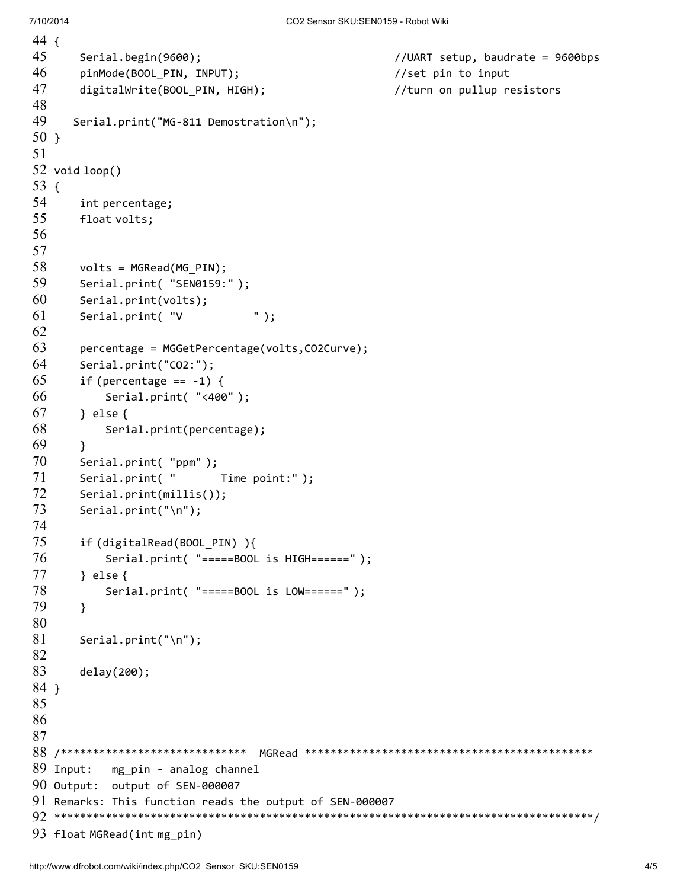```
44
{
45
46
47
48
49
50
}
51
52
void loop()
53
{
54
55
56
57
58
59
60
61
62
63
64
65
66
67
68
69
70
71
72
73
74
75
76
77
78
79
80
81
82
83
84
}
85
86
87
88
/***************************** MGRead *********************************************
89 Input:
90
Output: output of SEN-000007
91
Remarks: This function reads the output of SEN-000007
92
************************************************************************************/
93
float MGRead(int mg_pin)Serial.begin(9600); \frac{1}{2} //UART setup, baudrate = 9600bps
       pinMode(BOOL_PIN, INPUT); //set pin to inputdigitalWrite(BOOL PIN, HIGH); \frac{1}{2} //turn on pullup resistors
      Serial.print("MG-811 Demostration\n");
       int percentage;
       float volts;
       volts = MGRead(MG_PIN);
       Serial.print( "SEN0159:");
       Serial.print(volts);
       Serial.print( "V " );
       percentage = MGGetPercentage(volts,CO2Curve);
       Serial.print("CO2:");
       if (percentage == -1) {
          Serial.print( "<400" );
       } else {
           Serial.print(percentage);
       }
       Serial.print( "ppm" );
       Serial.print( " Time point:");
       Serial.print(millis());
       Serial.print("\n");
       if (digitalRead(BOOL_PIN) ){
          Serial.print( "=====BOOL is HIGH======" );
       } else {
          Serial.print( "=====BOOL is LOW======" );
       }
       Serial.print("\n");
       delay(200);
           mg_pin - analog channel
```